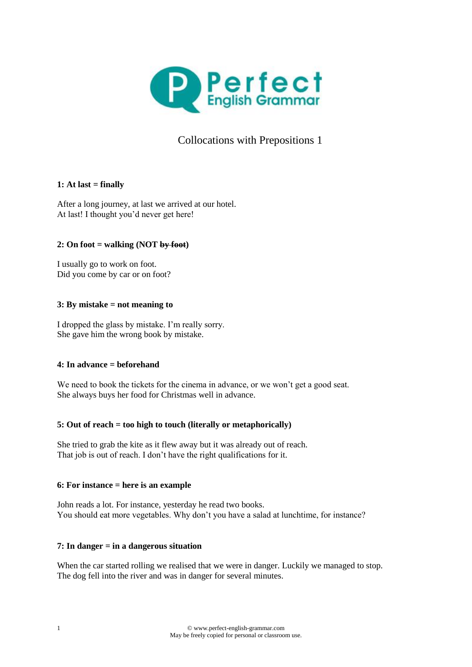

# Collocations with Prepositions 1

# **1:** At last  $=$  finally

After a long journey, at last we arrived at our hotel. At last! I thought you'd never get here!

# **2: On foot = walking (NOT by foot)**

I usually go to work on foot. Did you come by car or on foot?

# **3: By mistake = not meaning to**

I dropped the glass by mistake. I'm really sorry. She gave him the wrong book by mistake.

# **4: In advance = beforehand**

We need to book the tickets for the cinema in advance, or we won't get a good seat. She always buys her food for Christmas well in advance.

# **5: Out of reach = too high to touch (literally or metaphorically)**

She tried to grab the kite as it flew away but it was already out of reach. That job is out of reach. I don't have the right qualifications for it.

# **6: For instance = here is an example**

John reads a lot. For instance, yesterday he read two books. You should eat more vegetables. Why don't you have a salad at lunchtime, for instance?

# **7: In danger = in a dangerous situation**

When the car started rolling we realised that we were in danger. Luckily we managed to stop. The dog fell into the river and was in danger for several minutes.